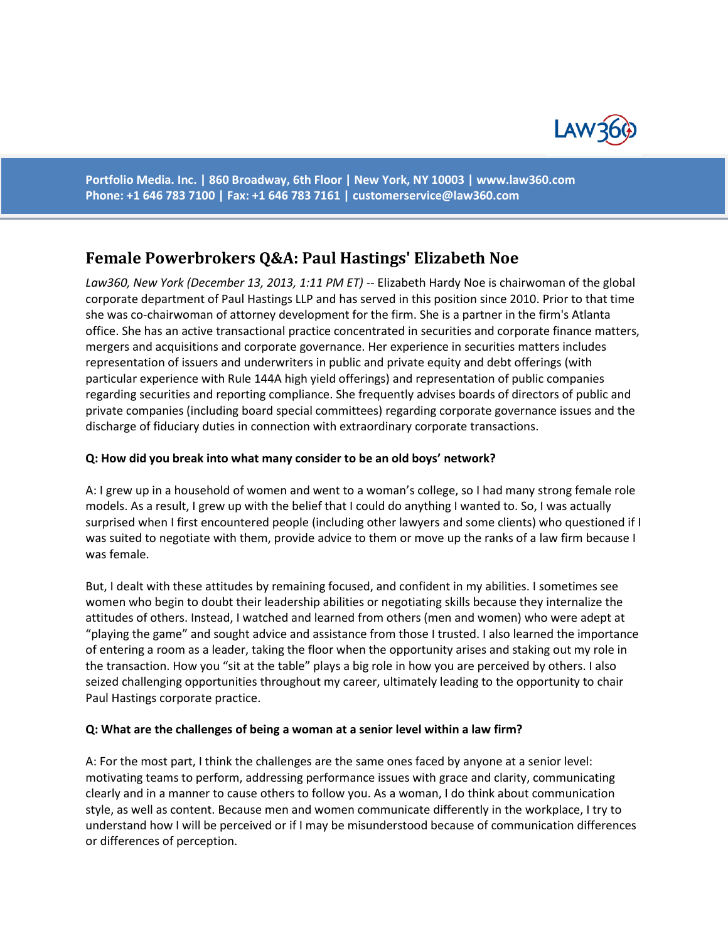

**Portfolio Media. Inc. | 860 Broadway, 6th Floor | New York, NY 10003 | www.law360.com Phone: +1 646 783 7100 | Fax: +1 646 783 7161 | [customerservice@law360.com](mailto:customerservice@law360.com)**

# **Female Powerbrokers Q&A: Paul Hastings' Elizabeth Noe**

*Law360, New York (December 13, 2013, 1:11 PM ET)* -- Elizabeth Hardy Noe is chairwoman of the global corporate department of Paul Hastings LLP and has served in this position since 2010. Prior to that time she was co-chairwoman of attorney development for the firm. She is a partner in the firm's Atlanta office. She has an active transactional practice concentrated in securities and corporate finance matters, mergers and acquisitions and corporate governance. Her experience in securities matters includes representation of issuers and underwriters in public and private equity and debt offerings (with particular experience with Rule 144A high yield offerings) and representation of public companies regarding securities and reporting compliance. She frequently advises boards of directors of public and private companies (including board special committees) regarding corporate governance issues and the discharge of fiduciary duties in connection with extraordinary corporate transactions.

#### **Q: How did you break into what many consider to be an old boys' network?**

A: I grew up in a household of women and went to a woman's college, so I had many strong female role models. As a result, I grew up with the belief that I could do anything I wanted to. So, I was actually surprised when I first encountered people (including other lawyers and some clients) who questioned if I was suited to negotiate with them, provide advice to them or move up the ranks of a law firm because I was female.

But, I dealt with these attitudes by remaining focused, and confident in my abilities. I sometimes see women who begin to doubt their leadership abilities or negotiating skills because they internalize the attitudes of others. Instead, I watched and learned from others (men and women) who were adept at "playing the game" and sought advice and assistance from those I trusted. I also learned the importance of entering a room as a leader, taking the floor when the opportunity arises and staking out my role in the transaction. How you "sit at the table" plays a big role in how you are perceived by others. I also seized challenging opportunities throughout my career, ultimately leading to the opportunity to chair Paul Hastings corporate practice.

#### **Q: What are the challenges of being a woman at a senior level within a law firm?**

A: For the most part, I think the challenges are the same ones faced by anyone at a senior level: motivating teams to perform, addressing performance issues with grace and clarity, communicating clearly and in a manner to cause others to follow you. As a woman, I do think about communication style, as well as content. Because men and women communicate differently in the workplace, I try to understand how I will be perceived or if I may be misunderstood because of communication differences or differences of perception.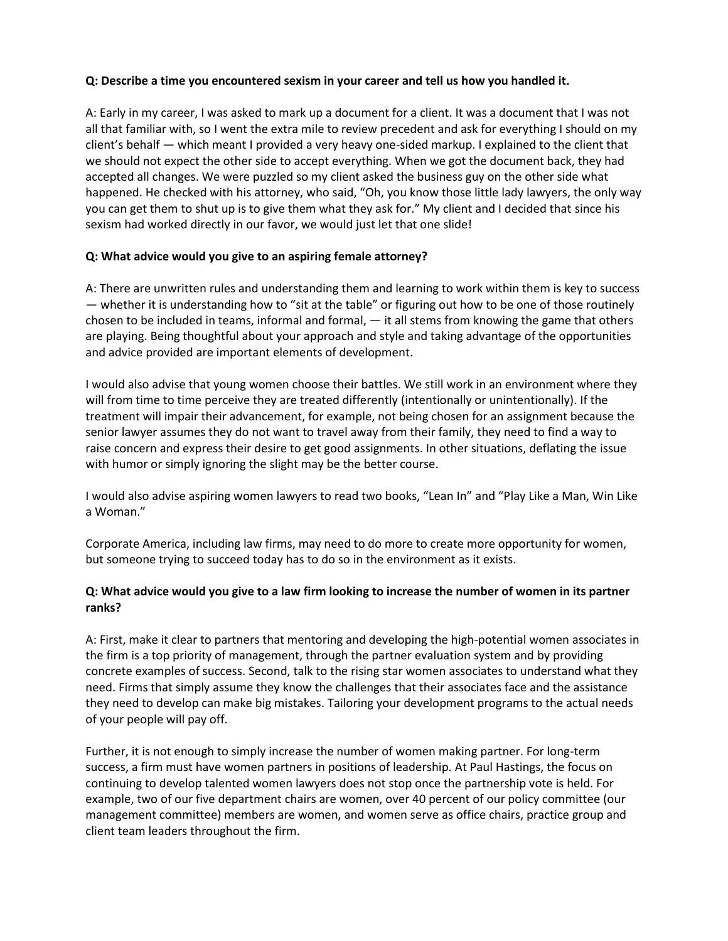### **Q: Describe a time you encountered sexism in your career and tell us how you handled it.**

A: Early in my career, I was asked to mark up a document for a client. It was a document that I was not all that familiar with, so I went the extra mile to review precedent and ask for everything I should on my client's behalf — which meant I provided a very heavy one-sided markup. I explained to the client that we should not expect the other side to accept everything. When we got the document back, they had accepted all changes. We were puzzled so my client asked the business guy on the other side what happened. He checked with his attorney, who said, "Oh, you know those little lady lawyers, the only way you can get them to shut up is to give them what they ask for." My client and I decided that since his sexism had worked directly in our favor, we would just let that one slide!

### **Q: What advice would you give to an aspiring female attorney?**

A: There are unwritten rules and understanding them and learning to work within them is key to success — whether it is understanding how to "sit at the table" or figuring out how to be one of those routinely chosen to be included in teams, informal and formal, — it all stems from knowing the game that others are playing. Being thoughtful about your approach and style and taking advantage of the opportunities and advice provided are important elements of development.

I would also advise that young women choose their battles. We still work in an environment where they will from time to time perceive they are treated differently (intentionally or unintentionally). If the treatment will impair their advancement, for example, not being chosen for an assignment because the senior lawyer assumes they do not want to travel away from their family, they need to find a way to raise concern and express their desire to get good assignments. In other situations, deflating the issue with humor or simply ignoring the slight may be the better course.

I would also advise aspiring women lawyers to read two books, "Lean In" and "Play Like a Man, Win Like a Woman."

Corporate America, including law firms, may need to do more to create more opportunity for women, but someone trying to succeed today has to do so in the environment as it exists.

## **Q: What advice would you give to a law firm looking to increase the number of women in its partner ranks?**

A: First, make it clear to partners that mentoring and developing the high-potential women associates in the firm is a top priority of management, through the partner evaluation system and by providing concrete examples of success. Second, talk to the rising star women associates to understand what they need. Firms that simply assume they know the challenges that their associates face and the assistance they need to develop can make big mistakes. Tailoring your development programs to the actual needs of your people will pay off.

Further, it is not enough to simply increase the number of women making partner. For long-term success, a firm must have women partners in positions of leadership. At Paul Hastings, the focus on continuing to develop talented women lawyers does not stop once the partnership vote is held. For example, two of our five department chairs are women, over 40 percent of our policy committee (our management committee) members are women, and women serve as office chairs, practice group and client team leaders throughout the firm.